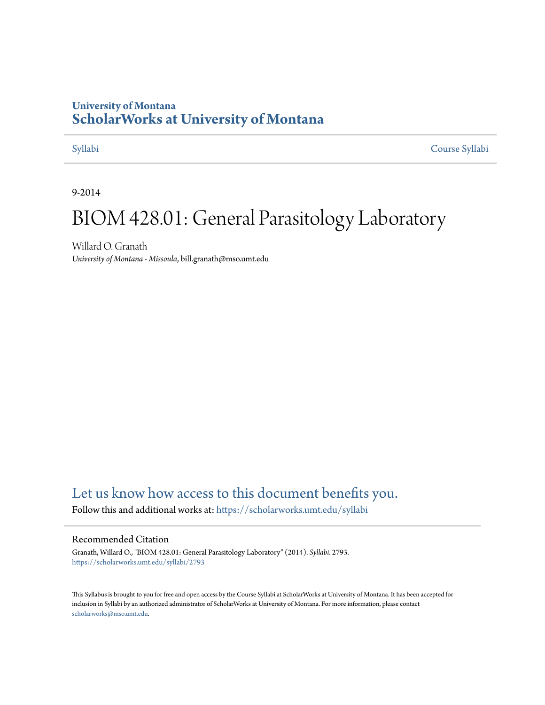# **University of Montana [ScholarWorks at University of Montana](https://scholarworks.umt.edu?utm_source=scholarworks.umt.edu%2Fsyllabi%2F2793&utm_medium=PDF&utm_campaign=PDFCoverPages)**

[Syllabi](https://scholarworks.umt.edu/syllabi?utm_source=scholarworks.umt.edu%2Fsyllabi%2F2793&utm_medium=PDF&utm_campaign=PDFCoverPages) [Course Syllabi](https://scholarworks.umt.edu/course_syllabi?utm_source=scholarworks.umt.edu%2Fsyllabi%2F2793&utm_medium=PDF&utm_campaign=PDFCoverPages)

9-2014

# BIOM 428.01: General Parasitology Laboratory

Willard O. Granath *University of Montana - Missoula*, bill.granath@mso.umt.edu

# [Let us know how access to this document benefits you.](https://goo.gl/forms/s2rGfXOLzz71qgsB2)

Follow this and additional works at: [https://scholarworks.umt.edu/syllabi](https://scholarworks.umt.edu/syllabi?utm_source=scholarworks.umt.edu%2Fsyllabi%2F2793&utm_medium=PDF&utm_campaign=PDFCoverPages)

#### Recommended Citation

Granath, Willard O., "BIOM 428.01: General Parasitology Laboratory" (2014). *Syllabi*. 2793. [https://scholarworks.umt.edu/syllabi/2793](https://scholarworks.umt.edu/syllabi/2793?utm_source=scholarworks.umt.edu%2Fsyllabi%2F2793&utm_medium=PDF&utm_campaign=PDFCoverPages)

This Syllabus is brought to you for free and open access by the Course Syllabi at ScholarWorks at University of Montana. It has been accepted for inclusion in Syllabi by an authorized administrator of ScholarWorks at University of Montana. For more information, please contact [scholarworks@mso.umt.edu](mailto:scholarworks@mso.umt.edu).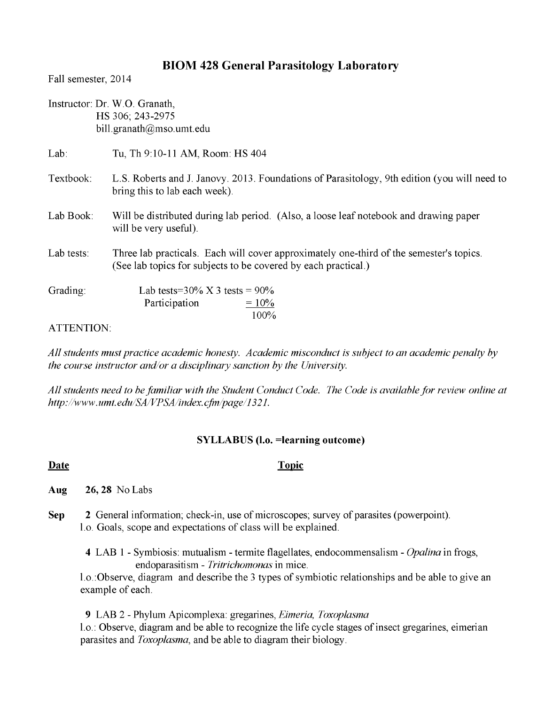# **BIOM 428 General Parasitology Laboratory**

Fall semester, 2014

|                   | Instructor: Dr. W.O. Granath,<br>HS 306; 243-2975<br>bill.granath@mso.umt.edu                                                                             |
|-------------------|-----------------------------------------------------------------------------------------------------------------------------------------------------------|
| Lab:              | Tu, Th 9:10-11 AM, Room: HS 404                                                                                                                           |
| Textbook:         | L.S. Roberts and J. Janovy. 2013. Foundations of Parasitology, 9th edition (you will need to<br>bring this to lab each week).                             |
| Lab Book:         | Will be distributed during lab period. (Also, a loose leaf notebook and drawing paper<br>will be very useful).                                            |
| Lab tests:        | Three lab practicals. Each will cover approximately one-third of the semester's topics.<br>(See lab topics for subjects to be covered by each practical.) |
| Grading:          | Lab tests= $30\% \text{ X } 3$ tests = $90\%$<br>Participation<br>$= 10\%$<br>100%                                                                        |
| <b>ATTENTION:</b> |                                                                                                                                                           |

*All students must practice academic honesty. Academic misconduct is subject to an academic penalty by the course instructor and/or a disciplinary sanction by the University.*

*All students need to be familiar with the Student Conduct Code. The Code is available for review online at http://www.umt. edu/SA/VPSA/index. cfm/page/1321.*

## **SYLLABUS (l.o. =learning outcome)**

### **Date** Topic

**Aug** 26, 28 No Labs

- **Sep** 2 General information; check-in, use of microscopes; survey of parasites (powerpoint). 1.0. Goals, scope and expectations of class will be explained.
	- **4** LAB 1 Symbiosis: mutualism termite flagellates, endocommensalism *Opalina* in frogs, endoparasitism - *Tritrichomonas* in mice.

1.0.:Observe, diagram and describe the 3 types of symbiotic relationships and be able to give an example of each.

**9** LAB 2 - Phylum Apicomplexa: gregarines, *Eimeria, Toxoplasma* 1.0.: Observe, diagram and be able to recognize the life cycle stages of insect gregarines, eimerian parasites and *Toxoplasma*, and be able to diagram their biology.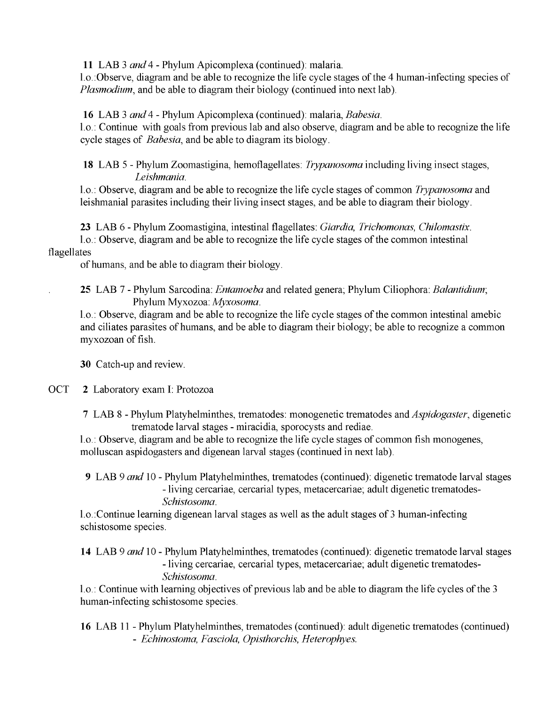**11** LAB 3 *and4 -* Phylum Apicomplexa (continued): malaria.

1.0.:Observe, diagram and be able to recognize the life cycle stages of the 4 human-infecting species of *Plasmodium*, and be able to diagram their biology (continued into next lab).

**16** LAB 3 *and4 -* Phylum Apicomplexa (continued): malaria, *Babesia.*

1.0.: Continue with goals from previous lab and also observe, diagram and be able to recognize the life cycle stages of *Babesia*, and be able to diagram its biology.

**18** LAB 5 - Phylum Zoomastigina, hemoflagellates: *Trypanosoma* including living insect stages, *Leishmania.*

1.0.: Observe, diagram and be able to recognize the life cycle stages of common *Trypanosoma* and leishmanial parasites including their living insect stages, and be able to diagram their biology.

**23** LAB 6 - Phylum Zoomastigina, intestinal flagellates: *Giardia, Trichomonas, Chilomastix.*

1.0.: Observe, diagram and be able to recognize the life cycle stages of the common intestinal flagellates

of humans, and be able to diagram their biology.

**25** LAB 7 - Phylum Sarcodina: *Entamoeba* and related genera; Phylum Ciliophora: *Balantidium*; Phylum Myxozoa: *Myxosoma.*

1.0.: Observe, diagram and be able to recognize the life cycle stages of the common intestinal amebic and ciliates parasites of humans, and be able to diagram their biology; be able to recognize a common myxozoan of fish.

**30** Catch-up and review.

OCT 2 Laboratory exam I: Protozoa

7 LAB 8 - Phylum Platyhelminthes, trematodes: monogenetic trematodes and *Aspidogaster,* digenetic trematode larval stages - miracidia, sporocysts and rediae.

1.0.: Observe, diagram and be able to recognize the life cycle stages of common fish monogenes, molluscan aspidogasters and digenean larval stages (continued in next lab).

**9** LAB 9 *and* 10 - Phylum Platyhelminthes, trematodes (continued): digenetic trematode larval stages - living cercariae, cercarial types, metacercariae; adult digenetic trematodes-*Schistosoma.*

1.0.:Continue learning digenean larval stages as well as the adult stages of 3 human-infecting schistosome species.

**14** LAB 9 *and* 10 **-** Phylum Platyhelminthes, trematodes (continued): digenetic trematode larval stages - living cercariae, cercarial types, metacercariae; adult digenetic trematodes-*Schistosoma.*

1.0.: Continue with learning objectives of previous lab and be able to diagram the life cycles of the 3 human-infecting schistosome species.

**16** LAB 11 - Phylum Platyhelminthes, trematodes (continued): adult digenetic trematodes (continued) **-** *Echinostoma, Fasciola, Opisthorchis, Heterophyes.*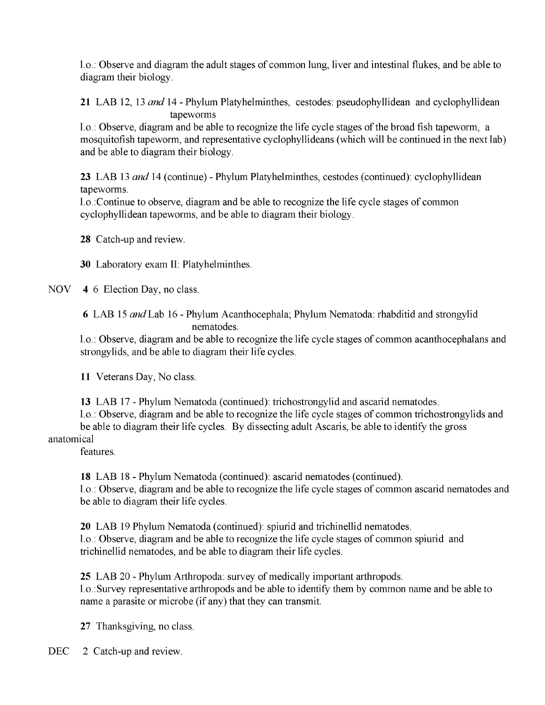1.0.: Observe and diagram the adult stages of common lung, liver and intestinal flukes, and be able to diagram their biology.

**21** LAB 12, 13 *and* 14 - Phylum Platyhelminthes, cestodes: pseudophyllidean and cyclophyllidean tapeworms

1.0.: Observe, diagram and be able to recognize the life cycle stages of the broad fish tapeworm, a mosquitofish tapeworm, and representative cyclophyllideans (which will be continued in the next lab) and be able to diagram their biology.

**23** LAB 13 *and* 14 (continue) - Phylum Platyhelminthes, cestodes (continued): cyclophyllidean tapeworms.

1.0.:Continue to observe, diagram and be able to recognize the life cycle stages of common cyclophyllidean tapeworms, and be able to diagram their biology.

**28** Catch-up and review.

**30** Laboratory exam II: Platyhelminthes.

NOV **4** 6 Election Day, no class.

6 LAB 15 *and* Lab 16 - Phylum Acanthocephala; Phylum Nematoda: rhabditid and strongylid nematodes.

1.0.: Observe, diagram and be able to recognize the life cycle stages of common acanthocephalans and strongylids, and be able to diagram their life cycles.

**11** Veterans Day, No class.

**13** LAB 17 - Phylum Nematoda (continued): trichostrongylid and ascarid nematodes.

1.0.: Observe, diagram and be able to recognize the life cycle stages of common trichostrongylids and be able to diagram their life cycles. By dissecting adult Ascaris, be able to identify the gross

# anatomical

features.

**18** LAB 18 - Phylum Nematoda (continued): ascarid nematodes (continued). 1.0.: Observe, diagram and be able to recognize the life cycle stages of common ascarid nematodes and be able to diagram their life cycles.

20 LAB 19 Phylum Nematoda (continued): spiurid and trichinellid nematodes. 1.0.: Observe, diagram and be able to recognize the life cycle stages of common spiurid and trichinellid nematodes, and be able to diagram their life cycles.

**25** LAB 20 - Phylum Arthropoda: survey of medically important arthropods. 1.0.:Survey representative arthropods and be able to identify them by common name and be able to name a parasite or microbe (if any) that they can transmit.

27 Thanksgiving, no class.

DEC 2 Catch-up and review.